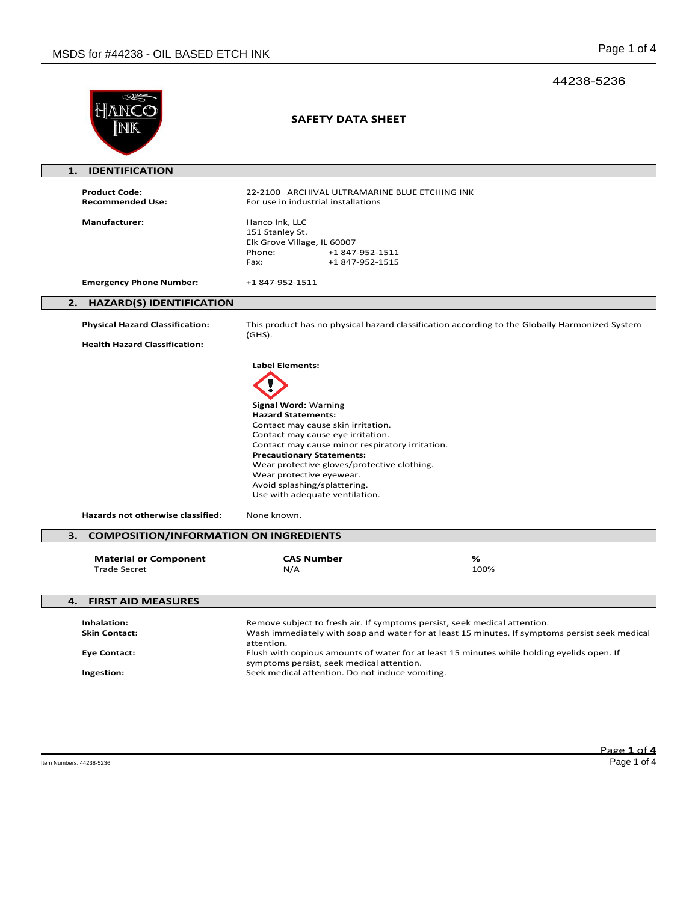## 44238-5236

|                                                                                          | SAFETY DATA SHEET                                                                                                                                                                                                                                                                                                                                                                      |                                                                                                                                                                                                                                                                           |
|------------------------------------------------------------------------------------------|----------------------------------------------------------------------------------------------------------------------------------------------------------------------------------------------------------------------------------------------------------------------------------------------------------------------------------------------------------------------------------------|---------------------------------------------------------------------------------------------------------------------------------------------------------------------------------------------------------------------------------------------------------------------------|
| <b>IDENTIFICATION</b><br>1.                                                              |                                                                                                                                                                                                                                                                                                                                                                                        |                                                                                                                                                                                                                                                                           |
| <b>Product Code:</b><br><b>Recommended Use:</b>                                          | 22-2100 ARCHIVAL ULTRAMARINE BLUE ETCHING INK<br>For use in industrial installations                                                                                                                                                                                                                                                                                                   |                                                                                                                                                                                                                                                                           |
| <b>Manufacturer:</b>                                                                     | Hanco Ink, LLC<br>151 Stanley St.<br>Elk Grove Village, IL 60007<br>Phone:<br>+1 847-952-1511<br>Fax:<br>+1 847-952-1515                                                                                                                                                                                                                                                               |                                                                                                                                                                                                                                                                           |
| <b>Emergency Phone Number:</b>                                                           | +1 847-952-1511                                                                                                                                                                                                                                                                                                                                                                        |                                                                                                                                                                                                                                                                           |
| <b>HAZARD(S) IDENTIFICATION</b><br>2.                                                    |                                                                                                                                                                                                                                                                                                                                                                                        |                                                                                                                                                                                                                                                                           |
| <b>Physical Hazard Classification:</b>                                                   | $(GHS)$ .                                                                                                                                                                                                                                                                                                                                                                              | This product has no physical hazard classification according to the Globally Harmonized System                                                                                                                                                                            |
| <b>Health Hazard Classification:</b>                                                     |                                                                                                                                                                                                                                                                                                                                                                                        |                                                                                                                                                                                                                                                                           |
| Hazards not otherwise classified:<br><b>COMPOSITION/INFORMATION ON INGREDIENTS</b><br>з. | <b>Signal Word: Warning</b><br><b>Hazard Statements:</b><br>Contact may cause skin irritation.<br>Contact may cause eye irritation.<br>Contact may cause minor respiratory irritation.<br><b>Precautionary Statements:</b><br>Wear protective gloves/protective clothing.<br>Wear protective eyewear.<br>Avoid splashing/splattering.<br>Use with adequate ventilation.<br>None known. |                                                                                                                                                                                                                                                                           |
| <b>Material or Component</b><br><b>Trade Secret</b>                                      | <b>CAS Number</b><br>N/A                                                                                                                                                                                                                                                                                                                                                               | %<br>100%                                                                                                                                                                                                                                                                 |
| 4.<br><b>FIRST AID MEASURES</b>                                                          |                                                                                                                                                                                                                                                                                                                                                                                        |                                                                                                                                                                                                                                                                           |
| Inhalation:<br><b>Skin Contact:</b><br><b>Eye Contact:</b><br>Ingestion:                 | attention.<br>symptoms persist, seek medical attention.<br>Seek medical attention. Do not induce vomiting.                                                                                                                                                                                                                                                                             | Remove subject to fresh air. If symptoms persist, seek medical attention.<br>Wash immediately with soap and water for at least 15 minutes. If symptoms persist seek medical<br>Flush with copious amounts of water for at least 15 minutes while holding eyelids open. If |
|                                                                                          |                                                                                                                                                                                                                                                                                                                                                                                        |                                                                                                                                                                                                                                                                           |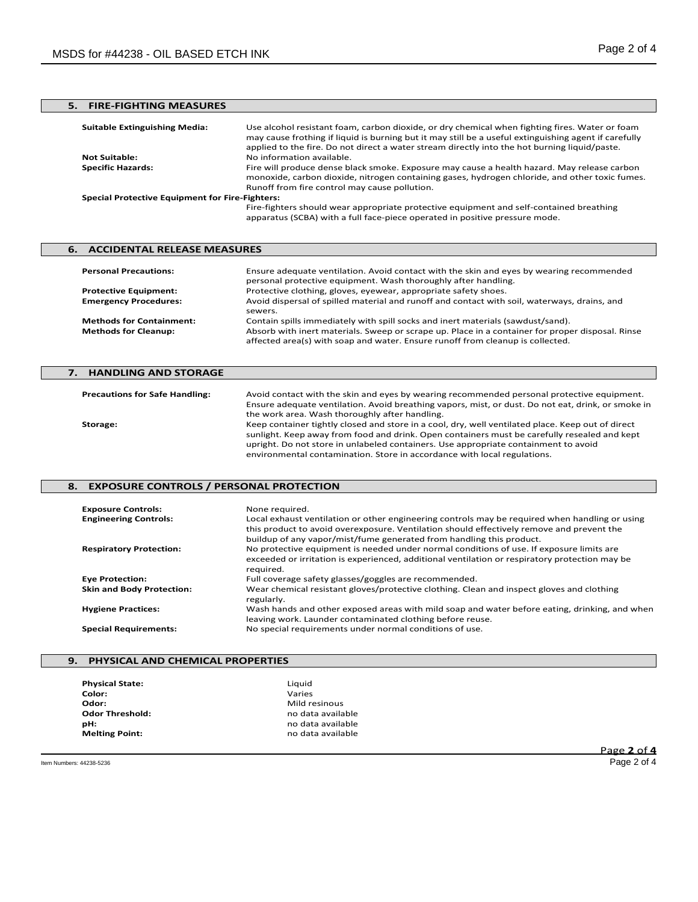# **5. FIRE-FIGHTING MEASURES**

| <b>Suitable Extinguishing Media:</b>                   | Use alcohol resistant foam, carbon dioxide, or dry chemical when fighting fires. Water or foam<br>may cause frothing if liquid is burning but it may still be a useful extinguishing agent if carefully<br>applied to the fire. Do not direct a water stream directly into the hot burning liquid/paste. |  |
|--------------------------------------------------------|----------------------------------------------------------------------------------------------------------------------------------------------------------------------------------------------------------------------------------------------------------------------------------------------------------|--|
| <b>Not Suitable:</b>                                   | No information available.                                                                                                                                                                                                                                                                                |  |
| <b>Specific Hazards:</b>                               | Fire will produce dense black smoke. Exposure may cause a health hazard. May release carbon<br>monoxide, carbon dioxide, nitrogen containing gases, hydrogen chloride, and other toxic fumes.<br>Runoff from fire control may cause pollution.                                                           |  |
| <b>Special Protective Equipment for Fire-Fighters:</b> |                                                                                                                                                                                                                                                                                                          |  |
|                                                        | Fire-fighters should wear appropriate protective equipment and self-contained breathing<br>apparatus (SCBA) with a full face-piece operated in positive pressure mode.                                                                                                                                   |  |

## **6. ACCIDENTAL RELEASE MEASURES Personal Precautions:** Ensure adequate ventilation. Avoid contact with the skin and eyes by wearing recommended personal protective equipment. Wash thoroughly after handling. **Protective Equipment:** Protective clothing, gloves, eyewear, appropriate safety shoes. **Emergency Procedures:** Avoid dispersal of spilled material and runoff and contact with soil, waterways, drains, and sewers.

**Methods for Containment:** Contain spills immediately with spill socks and inert materials (sawdust/sand).<br>**Methods for Cleanup:** Absorb with inert materials. Sweep or scrape up. Place in a container for prope

## **7. HANDLING AND STORAGE Precautions for Safe Handling:** Avoid contact with the skin and eyes by wearing recommended personal protective equipment. Ensure adequate ventilation. Avoid breathing vapors, mist, or dust. Do not eat, drink, or smoke in the work area. Wash thoroughly after handling. **Storage:** Keep container tightly closed and store in a cool, dry, well ventilated place. Keep out of direct sunlight. Keep away from food and drink. Open containers must be carefully resealed and kept upright. Do not store in unlabeled containers. Use appropriate containment to avoid environmental contamination. Store in accordance with local regulations.

Absorb with inert materials. Sweep or scrape up. Place in a container for proper disposal. Rinse

affected area(s) with soap and water. Ensure runoff from cleanup is collected.

#### **8. EXPOSURE CONTROLS / PERSONAL PROTECTION**

| <b>Exposure Controls:</b><br><b>Engineering Controls:</b> | None required.<br>Local exhaust ventilation or other engineering controls may be required when handling or using<br>this product to avoid overexposure. Ventilation should effectively remove and prevent the<br>buildup of any vapor/mist/fume generated from handling this product. |
|-----------------------------------------------------------|---------------------------------------------------------------------------------------------------------------------------------------------------------------------------------------------------------------------------------------------------------------------------------------|
| <b>Respiratory Protection:</b>                            | No protective equipment is needed under normal conditions of use. If exposure limits are<br>exceeded or irritation is experienced, additional ventilation or respiratory protection may be<br>required.                                                                               |
| <b>Eye Protection:</b>                                    | Full coverage safety glasses/goggles are recommended.                                                                                                                                                                                                                                 |
| <b>Skin and Body Protection:</b>                          | Wear chemical resistant gloves/protective clothing. Clean and inspect gloves and clothing<br>regularly.                                                                                                                                                                               |
| <b>Hygiene Practices:</b>                                 | Wash hands and other exposed areas with mild soap and water before eating, drinking, and when<br>leaving work. Launder contaminated clothing before reuse.                                                                                                                            |
| <b>Special Requirements:</b>                              | No special requirements under normal conditions of use.                                                                                                                                                                                                                               |

### **9. PHYSICAL AND CHEMICAL PROPERTIES**

| <b>Physical State:</b> | Liquid            |
|------------------------|-------------------|
| Color:                 | Varies            |
| Odor:                  | Mild resinous     |
| <b>Odor Threshold:</b> | no data available |
| pH:                    | no data available |
| <b>Melting Point:</b>  | no data available |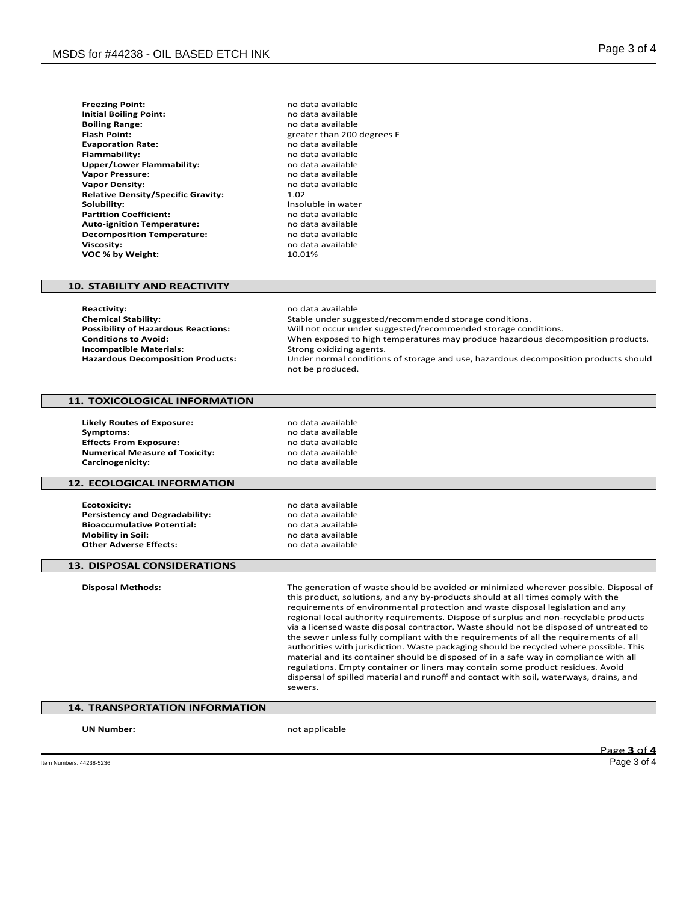| <b>Freezing Point:</b>                    | no data |
|-------------------------------------------|---------|
| <b>Initial Boiling Point:</b>             | no data |
| <b>Boiling Range:</b>                     | no data |
| <b>Flash Point:</b>                       | greater |
| <b>Evaporation Rate:</b>                  | no data |
| Flammability:                             | no data |
| Upper/Lower Flammability:                 | no data |
| <b>Vapor Pressure:</b>                    | no data |
| <b>Vapor Density:</b>                     | no data |
| <b>Relative Density/Specific Gravity:</b> | 1.02    |
| Solubility:                               | Insolub |
| <b>Partition Coefficient:</b>             | no data |
| <b>Auto-ignition Temperature:</b>         | no data |
| <b>Decomposition Temperature:</b>         | no data |
| <b>Viscosity:</b>                         | no data |
| VOC % by Weight:                          | 10.01%  |

**Freezing Point:** no data available **Initial Boiling Point:** no data available **Boiling Range:** no data available **Flash Point:** greater than 200 degrees F **Evaporation Rate:** no data available **Flammability:** no data available **Upper/Lower Flammability:** no data available **Vapor Pressure:** no data available no data available<br>1.02 **Insoluble in water Partition Coefficient:** no data available **Auto-ignition Temperature:** no data available **Decomposition Temperature:** no data available **Viscosity:** no data available

#### **10. STABILITY AND REACTIVITY**

**Reactivity:** no data available<br> **Chemical Stability:** Notably and the Stable under suggested by the Stable under suggested by the Stable under sugg **Chemical Stability:** Stable under suggested/recommended storage conditions. **Possibility of Hazardous Reactions:** Will not occur under suggested/recommended storage conditions.<br>Conditions to Avoid: When exposed to high temperatures may produce hazardous deco When exposed to high temperatures may produce hazardous decomposition products.<br>Strong oxidizing agents. **Incompatible Materials: Hazardous Decomposition Products:** Under normal conditions of storage and use, hazardous decomposition products should not be produced.

### **11. TOXICOLOGICAL INFORMATION**

**Likely Routes of Exposure:** no data available **Symptoms:** no data available<br>**Effects From Exposure:** exercise the mode data available **Effects From Exposure: Numerical Measure of Toxicity:** no data available<br> **Carcinogenicity:** no data available **Carcinogenicity:** 

#### **12. ECOLOGICAL INFORMATION**

**Ecotoxicity:** no data available<br> **Persistency and Degradability:** example a no data available **Persistency and Degradability:** end and a modern available<br> **Bioaccumulative Potential:** end and a modern available **Bioaccumulative Potential:**<br>Mobility in Soil: **Other Adverse Effects:** 

**Mobility in Soil:** no data available

#### **13. DISPOSAL CONSIDERATIONS**

**Disposal Methods:** The generation of waste should be avoided or minimized wherever possible. Disposal of this product, solutions, and any by-products should at all times comply with the requirements of environmental protection and waste disposal legislation and any regional local authority requirements. Dispose of surplus and non-recyclable products via a licensed waste disposal contractor. Waste should not be disposed of untreated to the sewer unless fully compliant with the requirements of all the requirements of all authorities with jurisdiction. Waste packaging should be recycled where possible. This material and its container should be disposed of in a safe way in compliance with all regulations. Empty container or liners may contain some product residues. Avoid dispersal of spilled material and runoff and contact with soil, waterways, drains, and sewers.

# **14. TRANSPORTATION INFORMATION**

**UN Number:** not applicable

Page **3** of **4**